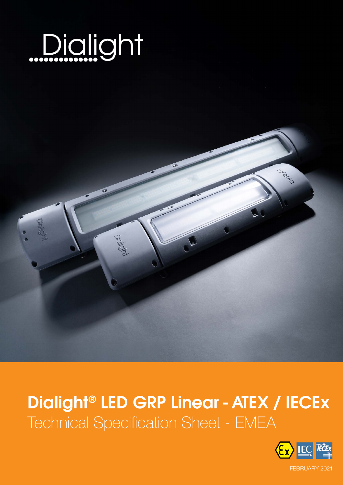

# Dialight® LED GRP Linear - ATEX / IECEx Technical Specification Sheet - EMEA

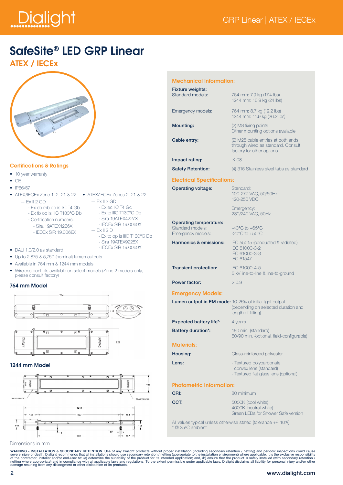# Dialight

### SafeSite® LED GRP Linear

ATEX / IECEx



#### Certifications & Ratings

- 10 year warranty
- CE
- IP66/67
- ATEX/IECEx Zone 1, 2, 21 & 22 ATEX/IECEx Zones 2, 21 & 22
	- $-$  Ex II 2 GD
- $=$  Ex II 3 GD
- 
- Ex eb mb op is IIC T4 Gb - Ex tb op is IIIC T130°C Db
- Certification numbers:
- Sira 19ATEX4226X
- IECEx SIR 19.0068X
- 
- $-$  Fx II 2 D
	- Sira 19ATEX9228X - IECEx SIR 19.0069X
- DALI 1.0/2.0 as standard
- Up to 2,875 & 5,750 (nominal) lumen outputs
- Available in 764 mm & 1244 mm models
- Wireless controls available on select models (Zone 2 models only, please consult factory)

#### 764 mm Model





#### 1244 mm Model



#### Dimensions in mm

 - Ex ec IIC T4 Gc - Ex tc IIIC T130°C Dc - Sira 19ATEX4227X - IECEx SIR 19.0069X

- Ex tb op is IIIC T130°C Db
- 
- 

Mechanical Information:

| <b>Fixture weights:</b><br>Standard models: | 764 mm: 7.9 kg (17.4 lbs)<br>1244 mm: 10.9 kg (24 lbs)                                                 |
|---------------------------------------------|--------------------------------------------------------------------------------------------------------|
| Emergency models:                           | 764 mm: 8.7 kg (19.2 lbs)<br>1244 mm: 11.9 kg (26.2 lbs)                                               |
| <b>Mounting:</b>                            | (2) M8 fixing points<br>Other mounting options available                                               |
| Cable entry:                                | (2) M25 cable entries at both ends,<br>through wired as standard. Consult<br>factory for other options |
| Impact rating:                              | <b>IK 08</b>                                                                                           |
| <b>Safety Retention:</b>                    | (4) 316 Stainless steel tabs as standarc                                                               |

#### Electrical Specifications:

| ------------------------------                                  |                                                                               |
|-----------------------------------------------------------------|-------------------------------------------------------------------------------|
| <b>Operating voltage:</b>                                       | Standard:<br>100-277 VAC, 50/60Hz<br>120-250 VDC                              |
|                                                                 | Emergency:<br>230/240 VAC, 50Hz                                               |
| Operating temperature:<br>Standard models:<br>Emergency models: | $-40^{\circ}$ C to $+65^{\circ}$ C<br>$-20^{\circ}$ C to $+50^{\circ}$ C      |
| Harmonics & emissions:                                          | IEC 55015 (conducted & radiate<br>IFC 61000-3-2<br>IFC 61000-3-3<br>IFC 61547 |
| <b>Transient protection:</b>                                    | IFC 61000-4-5<br>6 kV line-to-line & line-to-ground                           |

Power factor:  $> 0.9$ 

#### Emergency Models:

| <b>Lumen output in EM mode:</b> 10-25% of initial light output | (depending on selected duration and<br>length of fitting)        |
|----------------------------------------------------------------|------------------------------------------------------------------|
| <b>Expected battery life*:</b>                                 | 4 years                                                          |
| <b>Battery duration*:</b>                                      | 180 min. (standard)<br>60/90 min. (optional, field-configurable) |
| <b>Materials:</b>                                              |                                                                  |
| Housing:                                                       | Glass-reinforced polyester                                       |
| Lens:                                                          | - Textured polycarbonate                                         |

 convex lens (standard) - Textured flat glass lens (optional)

conducted & radiated)

#### Photometric Information:

| CRI: | 80 minimum                                                                        |
|------|-----------------------------------------------------------------------------------|
| CCT: | 5000K (cool white)<br>4000K (neutral white)<br>Green LEDs for Shower Safe version |

All values typical unless otherwise stated (tolerance +/- 10%) \* @ 25°C ambient

WARNING - INSTALLATION & SECONDARY RETENTION. Use of any Dialight products without proper installation (including secondary retention in charge in installation environment) where applicable. It is the exclusive responsibil

#### 2 www.dialight.com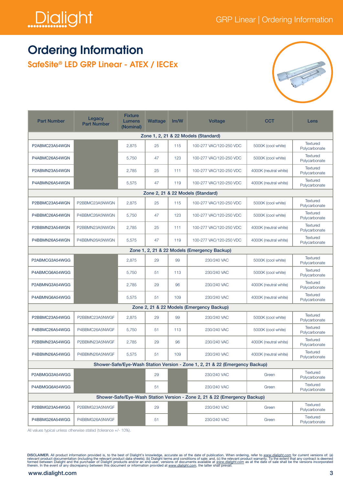

### Ordering Information

SafeSite® LED GRP Linear - ATEX / IECEx



| <b>Part Number</b>                   | <b>Fixture</b><br>Legacy<br><b>Lumens</b><br><b>Part Number</b><br>(Nominal) |       | Wattage | Im/W | <b>Voltage</b>                                                               | <b>CCT</b>            | Lens                             |  |  |  |  |  |
|--------------------------------------|------------------------------------------------------------------------------|-------|---------|------|------------------------------------------------------------------------------|-----------------------|----------------------------------|--|--|--|--|--|
| Zone 1, 2, 21 & 22 Models (Standard) |                                                                              |       |         |      |                                                                              |                       |                                  |  |  |  |  |  |
| P2ABMC23A54WGN                       |                                                                              | 2,875 | 25      | 115  | 100-277 VAC/120-250 VDC                                                      | 5000K (cool white)    | Textured<br>Polycarbonate        |  |  |  |  |  |
| P4ABMC26A54WGN                       |                                                                              | 5,750 | 47      | 123  | 100-277 VAC/120-250 VDC                                                      | 5000K (cool white)    | <b>Textured</b><br>Polycarbonate |  |  |  |  |  |
| P2ABMN23A54WGN                       |                                                                              | 2,785 | 25      | 111  | 100-277 VAC/120-250 VDC                                                      | 4000K (neutral white) | <b>Textured</b><br>Polycarbonate |  |  |  |  |  |
| P4ABMN26A54WGN                       |                                                                              | 5,575 | 47      | 119  | 100-277 VAC/120-250 VDC                                                      | 4000K (neutral white) | <b>Textured</b><br>Polycarbonate |  |  |  |  |  |
|                                      |                                                                              |       |         |      | Zone 2, 21 & 22 Models (Standard)                                            |                       |                                  |  |  |  |  |  |
| P2BBMC23A54WGN                       | P2BBMC23A5NWGN                                                               | 2,875 | 25      | 115  | 100-277 VAC/120-250 VDC                                                      | 5000K (cool white)    | <b>Textured</b><br>Polycarbonate |  |  |  |  |  |
| P4BBMC26A54WGN                       | P4BBMC26A5NWGN                                                               | 5,750 | 47      | 123  | 100-277 VAC/120-250 VDC                                                      | 5000K (cool white)    | <b>Textured</b><br>Polycarbonate |  |  |  |  |  |
| P2BBMN23A54WGN                       | P2BBMN23A5NWGN                                                               | 2,785 | 25      | 111  | 100-277 VAC/120-250 VDC                                                      | 4000K (neutral white) | <b>Textured</b><br>Polycarbonate |  |  |  |  |  |
| P4BBMN26A54WGN                       | P4BBMN26A5NWGN                                                               | 5,575 | 47      | 119  | 100-277 VAC/120-250 VDC                                                      | 4000K (neutral white) | <b>Textured</b><br>Polycarbonate |  |  |  |  |  |
|                                      |                                                                              |       |         |      | Zone 1, 2, 21 & 22 Models (Emergency Backup)                                 |                       |                                  |  |  |  |  |  |
| P2ABMCG3A54WGG                       |                                                                              | 2,875 | 29      | 99   | 230/240 VAC                                                                  | 5000K (cool white)    | <b>Textured</b><br>Polycarbonate |  |  |  |  |  |
| P4ABMCG6A54WGG                       |                                                                              | 5,750 | 51      | 113  | 230/240 VAC                                                                  | 5000K (cool white)    | <b>Textured</b><br>Polycarbonate |  |  |  |  |  |
| P2ABMNG3A54WGG                       |                                                                              | 2,785 | 29      | 96   | 230/240 VAC                                                                  | 4000K (neutral white) | <b>Textured</b><br>Polycarbonate |  |  |  |  |  |
| P4ABMNG6A54WGG                       |                                                                              | 5,575 | 51      | 109  | 230/240 VAC                                                                  | 4000K (neutral white) | <b>Textured</b><br>Polycarbonate |  |  |  |  |  |
|                                      |                                                                              |       |         |      | Zone 2, 21 & 22 Models (Emergency Backup)                                    |                       |                                  |  |  |  |  |  |
| P2BBMC23A54WGG                       | P2BBMC23A5NWGF                                                               | 2,875 | 29      | 99   | 230/240 VAC                                                                  | 5000K (cool white)    | <b>Textured</b><br>Polycarbonate |  |  |  |  |  |
| P4BBMC26A54WGG                       | P4BBMC26A5NWGF                                                               | 5,750 | 51      | 113  | 230/240 VAC                                                                  | 5000K (cool white)    | <b>Textured</b><br>Polycarbonate |  |  |  |  |  |
| P2BBMN23A54WGG                       | P2BBMN23A5NWGF                                                               | 2,785 | 29      | 96   | 230/240 VAC                                                                  | 4000K (neutral white) | <b>Textured</b><br>Polycarbonate |  |  |  |  |  |
| P4BBMN26A54WGG                       | P4BBMN26A5NWGF                                                               | 5,575 | 51      | 109  | 230/240 VAC                                                                  | 4000K (neutral white) | <b>Textured</b><br>Polycarbonate |  |  |  |  |  |
|                                      |                                                                              |       |         |      | Shower-Safe/Eye-Wash Station Version - Zone 1, 2, 21 & 22 (Emergency Backup) |                       |                                  |  |  |  |  |  |
| P2ABMGG3A54WGG                       |                                                                              |       | 29      |      | 230/240 VAC                                                                  | Green                 | Textured<br>Polycarbonate        |  |  |  |  |  |
| P4ABMGG6A54WGG                       |                                                                              |       | 51      |      | 230/240 VAC                                                                  | Green                 | Textured<br>Polycarbonate        |  |  |  |  |  |
|                                      |                                                                              |       |         |      | Shower-Safe/Eye-Wash Station Version - Zone 2, 21 & 22 (Emergency Backup)    |                       |                                  |  |  |  |  |  |
| P2BBMG23A54WGG                       | P2BBMG23A5NWGF                                                               |       | 29      |      | 230/240 VAC                                                                  | Green                 | <b>Textured</b><br>Polycarbonate |  |  |  |  |  |
| P4BBMG26A54WGG                       | P4BBMG26A5NWGF                                                               |       | 51      |      | 230/240 VAC                                                                  | Green                 | <b>Textured</b><br>Polycarbonate |  |  |  |  |  |

All values typical unless otherwise stated (tolerance +/- 10%).

DISCLAIMER. All product information provided is, to the best of Dialight's knowledge, accurate as of the date of publication. When ordering, refer to <u>www.dialight.com</u> for current versions of: (a)<br>relevant product documen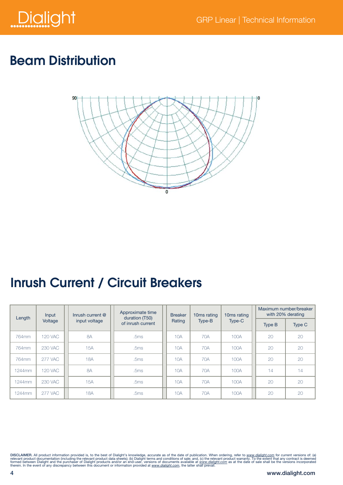

## Beam Distribution



# Inrush Current / Circuit Breakers

| Input<br>Length |                | Inrush current $@$ | Approximate time<br>duration (T50) |  | <b>Breaker</b> | 10 <sub>ms</sub> rating | 10 <sub>ms</sub> rating |  | Maximum number/breaker<br>with 20% derating |        |
|-----------------|----------------|--------------------|------------------------------------|--|----------------|-------------------------|-------------------------|--|---------------------------------------------|--------|
|                 | Voltage        | input voltage      | of inrush current                  |  | Rating         | Type-B                  | Type-C                  |  | Type B                                      | Type C |
| 764mm           | <b>120 VAC</b> | 8A                 | .5ms                               |  | 10A            | 70A                     | 100A                    |  | 20                                          | 20     |
| 764mm           | <b>230 VAC</b> | 15A                | .5ms                               |  | 10A            | 70A                     | 100A                    |  | 20                                          | 20     |
| 764mm           | <b>277 VAC</b> | <b>18A</b>         | .5ms                               |  | 10A            | 70A                     | 100A                    |  | 20                                          | 20     |
| 1244mm          | <b>120 VAC</b> | 8A                 | .5ms                               |  | 10A            | 70A                     | 100A                    |  | 14                                          | 14     |
| 1244mm          | 230 VAC        | 15A                | .5ms                               |  | 10A            | 70A                     | 100A                    |  | 20                                          | 20     |
| 1244mm          | <b>277 VAC</b> | 18A                | .5ms                               |  | 10A            | 70A                     | 100A                    |  | 20                                          | 20     |

DISCLAIMER. All product information provided is, to the best of Dialight's knowledge, accurate as of the date of publication. When ordering, refer to www.dialight.com for current versions of: (a)<br>relevant product documenta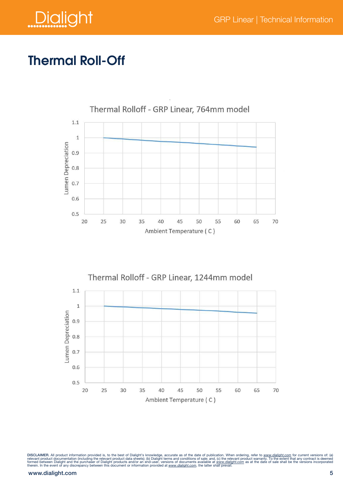

## Thermal Roll-Off





DISCLAIMER. All product information provided is, to the best of Dialight's knowledge, accurate as of the date of publication. When ordering, refer to <u>www.dialight.com</u> for current versions of: (a)<br>relevant product documen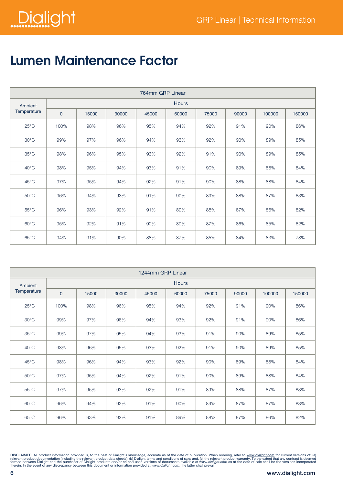

# Lumen Maintenance Factor

| 764mm GRP Linear |                |              |       |       |       |       |       |        |        |  |  |  |
|------------------|----------------|--------------|-------|-------|-------|-------|-------|--------|--------|--|--|--|
| Ambient          |                | <b>Hours</b> |       |       |       |       |       |        |        |  |  |  |
| Temperature      | $\overline{0}$ | 15000        | 30000 | 45000 | 60000 | 75000 | 90000 | 100000 | 150000 |  |  |  |
| $25^{\circ}$ C   | 100%           | 98%          | 96%   | 95%   | 94%   | 92%   | 91%   | 90%    | 86%    |  |  |  |
| $30^{\circ}$ C   | 99%            | 97%          | 96%   | 94%   | 93%   | 92%   | 90%   | 89%    | 85%    |  |  |  |
| $35^{\circ}$ C   | 98%            | 96%          | 95%   | 93%   | 92%   | 91%   | 90%   | 89%    | 85%    |  |  |  |
| $40^{\circ}$ C   | 98%            | 95%          | 94%   | 93%   | 91%   | 90%   | 89%   | 88%    | 84%    |  |  |  |
| 45°C             | 97%            | 95%          | 94%   | 92%   | 91%   | 90%   | 88%   | 88%    | 84%    |  |  |  |
| $50^{\circ}$ C   | 96%            | 94%          | 93%   | 91%   | 90%   | 89%   | 88%   | 87%    | 83%    |  |  |  |
| $55^{\circ}$ C   | 96%            | 93%          | 92%   | 91%   | 89%   | 88%   | 87%   | 86%    | 82%    |  |  |  |
| $60^{\circ}$ C   | 95%            | 92%          | 91%   | 90%   | 89%   | 87%   | 86%   | 85%    | 82%    |  |  |  |
| $65^{\circ}$ C   | 94%            | 91%          | 90%   | 88%   | 87%   | 85%   | 84%   | 83%    | 78%    |  |  |  |

| 1244mm GRP Linear |              |       |       |       |       |       |       |        |        |  |  |
|-------------------|--------------|-------|-------|-------|-------|-------|-------|--------|--------|--|--|
| Ambient           | <b>Hours</b> |       |       |       |       |       |       |        |        |  |  |
| Temperature       | $\mathbf 0$  | 15000 | 30000 | 45000 | 60000 | 75000 | 90000 | 100000 | 150000 |  |  |
| $25^{\circ}$ C    | 100%         | 98%   | 96%   | 95%   | 94%   | 92%   | 91%   | 90%    | 86%    |  |  |
| $30^{\circ}$ C    | 99%          | 97%   | 96%   | 94%   | 93%   | 92%   | 91%   | 90%    | 86%    |  |  |
| $35^{\circ}$ C    | 99%          | 97%   | 95%   | 94%   | 93%   | 91%   | 90%   | 89%    | 85%    |  |  |
| $40^{\circ}$ C    | 98%          | 96%   | 95%   | 93%   | 92%   | 91%   | 90%   | 89%    | 85%    |  |  |
| $45^{\circ}$ C    | 98%          | 96%   | 94%   | 93%   | 92%   | 90%   | 89%   | 88%    | 84%    |  |  |
| $50^{\circ}$ C    | 97%          | 95%   | 94%   | 92%   | 91%   | 90%   | 89%   | 88%    | 84%    |  |  |
| $55^{\circ}$ C    | 97%          | 95%   | 93%   | 92%   | 91%   | 89%   | 88%   | 87%    | 83%    |  |  |
| $60^{\circ}$ C    | 96%          | 94%   | 92%   | 91%   | 90%   | 89%   | 87%   | 87%    | 83%    |  |  |
| $65^{\circ}$ C    | 96%          | 93%   | 92%   | 91%   | 89%   | 88%   | 87%   | 86%    | 82%    |  |  |

DISCLAIMER. All product information provided is, to the best of Dialight's knowledge, accurate as of the date of publication. When ordering, refer to www.dialight.com for current versions of: (a)<br>relevant product documenta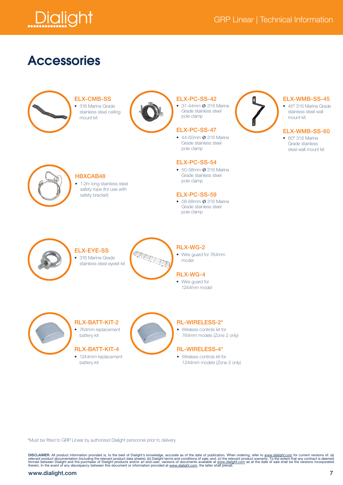

### **Accessories**



#### ELX-CMB-SS

• 316 Marine Grade stainless steel ceiling mount kit



#### ELX-PC-SS-42

• 37-44mm Ø 316 Marine Grade stainless steel pole clamp

#### ELX-PC-SS-47

• 44-50mm Ø 316 Marine Grade stainless steel pole clamp

#### ELX-PC-SS-54

• 50-58mm Ø 316 Marine Grade stainless steel pole clamp

#### ELX-PC-SS-59

• 58-68mm Ø 316 Marine Grade stainless steel pole clamp



#### ELX-WMB-SS-45

• 45° 316 Marine Grade stainless steel wall mount kit

#### ELX-WMB-SS-60

• 60° 316 Marine Grade stainless steel wall mount kit



#### HBXCAB48

• 1.2m long stainless steel safety rope (for use with safety bracket)



#### ELX-EYE-SS • 316 Marine Grade stainless steel eyelet kit



#### RLX-WG-2

• Wire guard for 764mm model

#### RLX-WG-4

• Wire guard for 1244mm model



RLX-BATT-KIT-2 • 764mm replacement battery kit

#### RLX-BATT-KIT-4

• 1244mm replacement battery kit



#### RL-WIRELESS-2\*

• Wireless controls kit for 764mm models (Zone 2 only)

#### RL-WIRELESS-4\*

• Wireless controls kit for 1244mm models (Zone 2 only)

\*Must be fitted to GRP Linear by authorized Dialight personnel prior to delivery

DISCLAIMER. All product information provided is, to the best of Dialight's knowledge, accurate as of the date of publication. When ordering, refer to www.dialight.com for current versions of: (a)<br>relevant product documenta

#### www.dialight.com 7